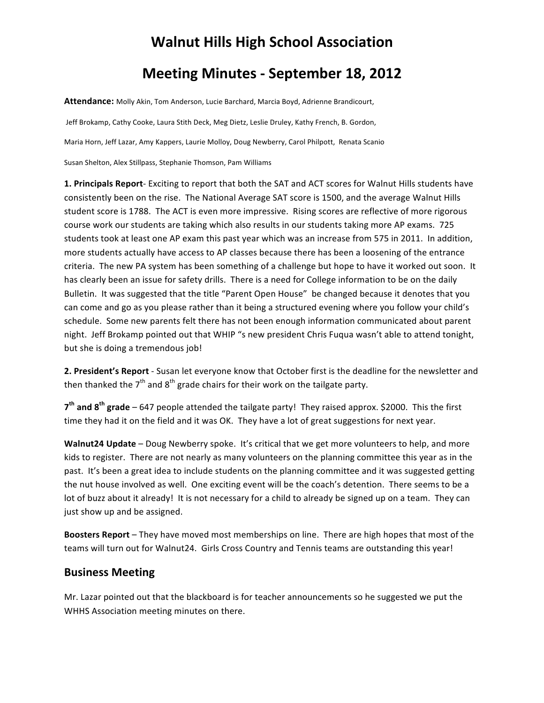## **Walnut
Hills
High
School
Association**

## **Meeting
Minutes ‐ September
18,
2012**

Attendance: Molly Akin, Tom Anderson, Lucie Barchard, Marcia Boyd, Adrienne Brandicourt,

Jeff Brokamp, Cathy Cooke, Laura Stith Deck, Meg Dietz, Leslie Druley, Kathy French, B. Gordon,

Maria Horn, Jeff Lazar, Amy Kappers, Laurie Molloy, Doug Newberry, Carol Philpott, Renata Scanio

Susan
Shelton,
Alex
Stillpass,
Stephanie
Thomson,
Pam
Williams

1. Principals Report- Exciting to report that both the SAT and ACT scores for Walnut Hills students have consistently been on the rise. The National Average SAT score is 1500, and the average Walnut Hills student score is 1788. The ACT is even more impressive. Rising scores are reflective of more rigorous course work our students are taking which also results in our students taking more AP exams. 725 students took at least one AP exam this past year which was an increase from 575 in 2011. In addition, more students actually have access to AP classes because there has been a loosening of the entrance criteria.

The
new
PA
system
has
been
something
of
a
challenge
but
hope
to
have
it
worked
out
soon.

It has clearly been an issue for safety drills. There is a need for College information to be on the daily Bulletin. It was suggested that the title "Parent Open House" be changed because it denotes that you can
come
and
go
as
you
please
rather
than
it
being
a
structured
evening
where
you
follow
your
child's schedule.

Some
new
parents
felt
there
has
not
been
enough
information
communicated
about
parent night. Jeff Brokamp pointed out that WHIP "s new president Chris Fuqua wasn't able to attend tonight, but she is doing a tremendous job!

2. President's Report - Susan let everyone know that October first is the deadline for the newsletter and then thanked the  $7<sup>th</sup>$  and  $8<sup>th</sup>$  grade chairs for their work on the tailgate party.

7<sup>th</sup> and 8<sup>th</sup> grade – 647 people attended the tailgate party! They raised approx. \$2000. This the first time they had it on the field and it was OK. They have a lot of great suggestions for next year.

Walnut24 Update - Doug Newberry spoke. It's critical that we get more volunteers to help, and more kids to register. There are not nearly as many volunteers on the planning committee this year as in the past. It's been a great idea to include students on the planning committee and it was suggested getting the nut house involved as well. One exciting event will be the coach's detention. There seems to be a lot of buzz about it already! It is not necessary for a child to already be signed up on a team. They can just
show
up
and
be
assigned.

Boosters Report - They have moved most memberships on line. There are high hopes that most of the teams will turn out for Walnut24. Girls Cross Country and Tennis teams are outstanding this year!

## **Business
Meeting**

Mr. Lazar pointed out that the blackboard is for teacher announcements so he suggested we put the WHHS
Association meeting minutes
on
there.